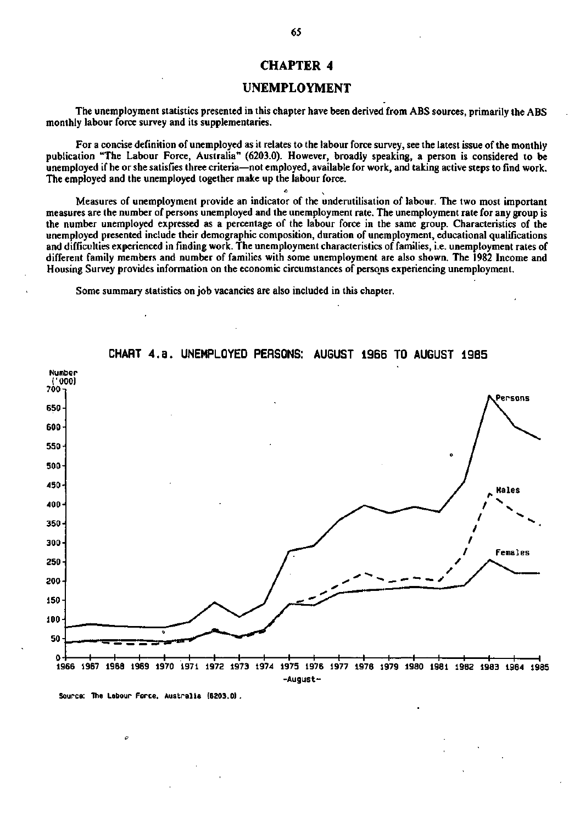## **CHAPTER 4**

### **UNEMPLOYMENT**

The unemployment statistics presented in this chapter have been derived from ABS sources, primarily the ABS monthly labour force survey and its supplementaries.

For a concise definition of unemployed as it relates to the labour force survey, see the latest issue of the monthly publication "The Labour Force, Australia" (6203.0). However, broadly speaking, a person is considered to be unemployed if he or she satisfies three criteria—not employed, available for work, and taking active steps to find work. The employed and the unemployed together make up the labour force.

Measures of unemployment provide an indicator of the underutilisation of labour. The two most important measures are the number of persons unemployed and the unemployment rate. The unemployment rate for any group is the number unemployed expressed as a percentage of the labour force in the same group. Characteristics of the unemployed presented include their demographic composition, duration of unemployment, educational qualifications and difficulties experienced in finding work. The unemployment characteristics of families, i.e. unemployment rates of different family members and number of families with some unemployment are also shown. The 1982 Income and Housing Survey provides information on the economic circumstances of persons experiencing unemployment.

Some summary statistics on job vacancies are also included in this chapter.



## **CHART 4.a. UNEMPLOYED PERSONS: AUGUST 1966 TO AUGUST 1985**

**Source: The Labour Force. Australia (6203.0).**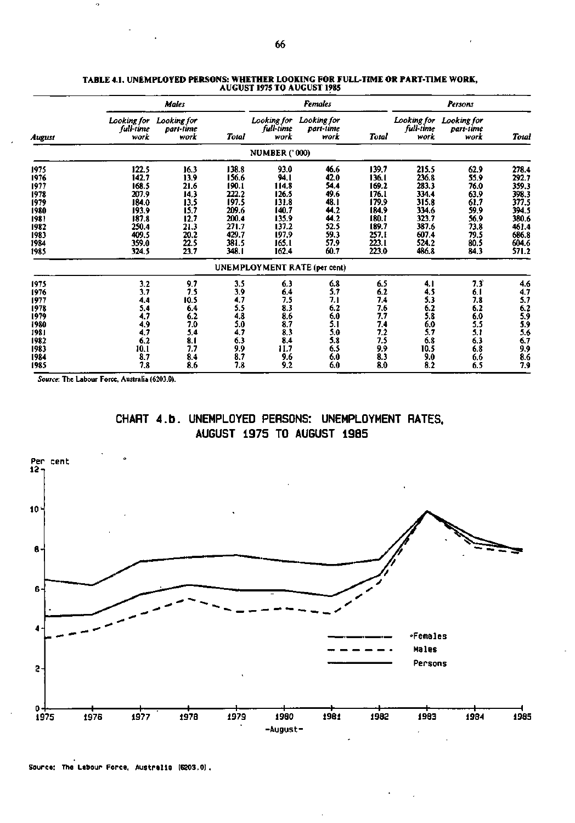|        |                                  | Males                            |       |                                  | <b>Females</b>                   |       | Persons                          |                                  |                   |  |
|--------|----------------------------------|----------------------------------|-------|----------------------------------|----------------------------------|-------|----------------------------------|----------------------------------|-------------------|--|
| August | Looking for<br>full-time<br>work | Looking for<br>part-time<br>work | Total | Looking for<br>full-time<br>work | Looking for<br>part-time<br>work | Total | Looking for<br>full-time<br>work | Looking for<br>part-sime<br>work | <b>Total</b>      |  |
|        |                                  |                                  |       | <b>NUMBER ('000)</b>             |                                  |       |                                  |                                  |                   |  |
| 1975   | 122.5                            | 16.3                             | 138.8 | 93.0                             | 46.6                             | 139.7 | 215.5                            | 62.9                             | 278.4             |  |
| 1976   | 142.7                            | 13.9                             | 156.6 | 94.I                             | 42.0                             | 136.1 | 236.8                            | 55.9                             | 292.7             |  |
| 1977   | 168.5                            | 21.6                             | 190.1 | 114.8                            | 54.4                             | 169.2 | 283.3                            | 76.0                             | 359.3             |  |
| 1978   | 207.9                            | 14.3                             | 222.2 | 126.5                            | 49.6                             | 176.1 | 334.4                            | 63.9                             | 398.3             |  |
| 1979   | 184.0                            | 13.5                             | 197.5 | 131.8                            | 48. I                            | 179.9 | 315.8                            | 61,7                             | 377.5             |  |
| 1980   | 193.9                            | 15.7                             | 209.6 | 140.7                            | 44.2                             | 184.9 | 334.6                            | 59.9                             | 394.5             |  |
| 1981   | 187.8                            | 12.7                             | 200.4 | 135.9                            | 44.2                             | 180.1 | 323.7                            | 56.9                             | 380.6             |  |
| 1982   | 250.4                            | 21.3                             | 271.7 | 137.2                            | 52.5                             | 189.7 | 387.6                            | 73.8                             | 461.4             |  |
| 1983   | 409.5                            | 20.2                             | 429.7 | 197.9                            | 59.3                             | 257.1 | 607.4                            | 79.5                             | 686.8             |  |
| 1984   | 359.0                            | 22.5                             | 381.5 | 165.1                            | 57.9                             | 223.1 | 524.2                            | 80.5                             | 604.6             |  |
| 1985   | 324.5                            | 23.7                             | 348.1 | 162.4                            | 60.7                             | 223.0 | 486.8                            | 84.3                             | 571.2             |  |
|        |                                  |                                  |       |                                  | UNEMPLOYMENT RATE (per cent)     |       |                                  |                                  |                   |  |
| 1975   | 3.2                              | 9.7                              | 3.5   | 6.3                              | 6.8                              | 6.5   | 4. I                             | 7.3                              | 4.6               |  |
| 1976   | 3.7                              | 7.5                              | 3.9   | 6.4                              | 5.7                              | 6.2   | 4.5                              | 6.1                              | $\frac{4.7}{5.7}$ |  |
| 1977   | 4.4                              | 10.5                             | 4.7   | 7.5                              | 7.1                              | 7.4   | 5.3                              | 7.8                              |                   |  |
| 1978   | 5.4                              | 6.4                              | 5.5   | 8.3                              | 6.2                              | 7.6   | 6.2                              | 6.2                              | $6.2$<br>5.9      |  |
| 1979   | 4.7                              | 6.2                              | 4.8   | 8.6                              | 6.0                              | 7.7   | 5.8                              | 6.0                              |                   |  |
| 1980   | 4.9                              | 7.0                              | 5.0   | 8.7                              | 5.1                              | 7.4   | 6.0                              | 5.5                              | 5.9               |  |
| 1981   | 4.7                              | 5.4                              | 4.7   | 8.3                              | 5.0                              | 7.2   | 5.7                              | 5.1                              | 5.6               |  |
| 1982   | 6.2                              | 8.1                              | 6.3   | 8,4                              | 5.8                              | 7.5   | 6.8                              | 6.3                              | 6.7               |  |
| 1983   | 10.1                             | 7.7                              | 9.9   | 11.7                             | 6.5                              | 9.9   | 10.5                             | 6.8                              | 9.9               |  |
| 1984   | 8.7                              | 8.4                              | 8.7   | 9.6                              | 6.0                              | 8.3   | 9.0                              | 6.6                              | 8.6               |  |
| 1985   | 7,8                              | 8.6                              | 7.8   | 9.2                              | 6.0                              | 8.0   | 8.2                              | 6.5                              | 7.9               |  |

#### **TABLE 4.1. UNEMPLOYED PERSONS: WHETHER LOOKING FOR FULL-TIME OR PART-TIME WORK, AUGUST 1975 TO AUGUST 1985**

*Source:* **The Labour Force, Australia (6203.0).** 

 $\alpha$ 





**Source: The Labour Force, Australia (6203.0) .**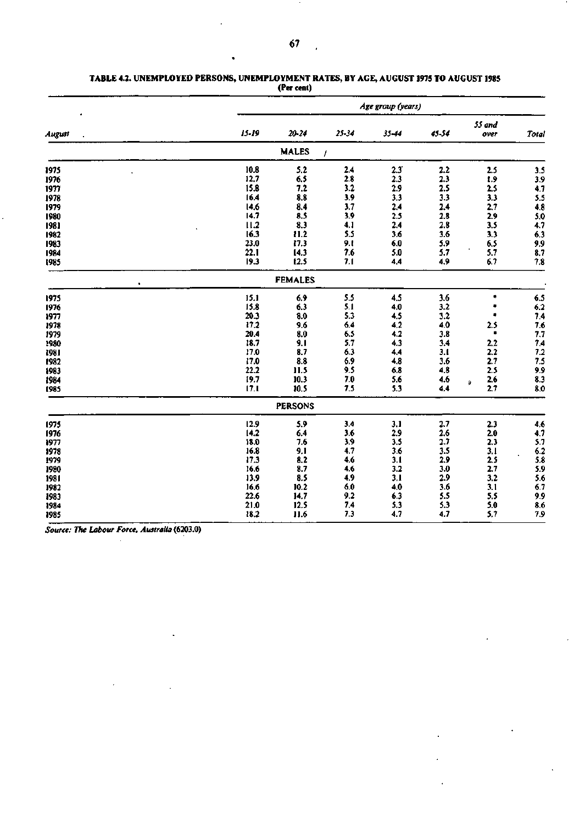|        | Age group (years) |                |           |               |       |                |                         |  |  |  |
|--------|-------------------|----------------|-----------|---------------|-------|----------------|-------------------------|--|--|--|
| August | $15 - 19$         | 20-24          | $25 - 34$ | 35-44         | 45-54 | 55 and<br>over | Total                   |  |  |  |
|        |                   | <b>MALES</b>   | I         |               |       |                |                         |  |  |  |
| 1975   | 10.8              | 5.2            | 2.4       | $2.3^{\circ}$ | 2.2   | 2.5            | 3.5                     |  |  |  |
| 1976   | 12,7              | 6.5            | $2.8\,$   | 2.3           | 2.3   | 1.9            |                         |  |  |  |
| 1977   | 15.8              | 7.2            | 3.2       | 2.9           | 2.5   | 2.5            | $\frac{3.9}{4.7}$       |  |  |  |
| 1978   | 16.4              | 8.8            | 3.9       | 3.3           | 3.3   | 3.3            | $\frac{5.5}{4.8}$       |  |  |  |
| 1979   | 14.6              | 8.4            | 3.7       | 2.4           | 2.4   | 2.7            |                         |  |  |  |
| 1980   | 14.7              | 8.5            | 3,9       | 2.5           | 2.8   | 2.9            |                         |  |  |  |
| 1981   | 11.2              | 8.3            | 4,1       | 2.4           | 2.8   | 3.5            | $\frac{5.0}{4.7}$       |  |  |  |
| 1982   | 16.3              | 11.2           | 5.5       | 3.6           | 3.6   | 3.3            | 6.3                     |  |  |  |
| 1983   | 23.0              | 17.3           | 9.1       | 6.0           | 5.9   | 6.5            | $\frac{9.9}{8.7}$       |  |  |  |
| 1984   | 22.1              | 14.3           | 7.6       | 5.0           | 5.7   | 5.7            |                         |  |  |  |
| 1985   | 19.3              | 12.5           | 7.1       | 4.4           | 4.9   | 6.7            | 7.8                     |  |  |  |
|        |                   | <b>FEMALES</b> |           |               |       |                |                         |  |  |  |
| 1975   | 15.1              | 6.9            | 5.5       | 4.5           | 3.6   | ۰              | 6.5                     |  |  |  |
| 1976   | 15.8              | 6.3            | 5.1       | 4.0           | 3,2   | ۰              | 6.2                     |  |  |  |
| 1977   | 20.3              | 3.0            | 5.3       | 4.5           | 3.2   |                | $7.4$<br>$7.6$<br>$7.7$ |  |  |  |
| 1978   | 17.2              | 9.6            | 6.4       | 4.2           | 4.0   | 2.5            |                         |  |  |  |
| 1979   | 20.4              | 8.0            | 6.5       | 4.2           | 3.8   | ۰              |                         |  |  |  |
| 1980   | 18.7              | 9.1            | 5.7       | 4.3           | 3.4   | 2.2            | $7,4$<br>$7,2$<br>$7,5$ |  |  |  |
| 1981   | 17.0              | 8.7            | 6.3       | 4.4           | 3.1   | 2.2            |                         |  |  |  |
| 1982   | 17.0              | 8.8            | 6.9       | 4.8           | 3.6   | 2.7            |                         |  |  |  |
| 1983   | 22.2              | 11.5           | 9.5       | 6.8           | 4,8   | 2.5            | 9.9                     |  |  |  |
| 1984   | 19.7              | 10.3           | 7.0       | 5.6           | 4.6   | 2.6<br>₿       | 8.3                     |  |  |  |
| 1985   | 17.1              | 10.5           | 7.5       | 5.3           | 4.4   | 2.7            | 8.0                     |  |  |  |
|        |                   | <b>PERSONS</b> |           |               |       |                |                         |  |  |  |
| 1975   | 12.9              | 5.9            | 3.4       | 3.1           | 2.7   | 2.3            | $4.6$<br>$4.7$          |  |  |  |
| 1976   | 14.2              | 6.4            | 3.6       | 2.9           | 2.6   | 2.0            |                         |  |  |  |
| 1977   | 18.0              | 7.6            | 3,9       | 3.5           | 2.7   | 2.3            | 5.7                     |  |  |  |
| 1978   | 16.8              | 9,1            | 4.7       | 3.6           | 3.5   | 3.1            | $6.2$<br>$5.8$<br>$5.9$ |  |  |  |
| 1979   | 17.3              | 8.2            | 4.6       | 3.1           | 2.9   | 2.5            |                         |  |  |  |
| 1980   | 16.6              | 8.7            | 4.6       | 3.2           | 3.0   | 2.7            |                         |  |  |  |
| 1981   | 13.9              | 8.5            | 4.9       | 3.1           | 2.9   | 3.2            | 5.6                     |  |  |  |
| 1982   | 16.6              | 10.2           | 6.0       | 4,0           | 3.6   | 3.1            | $6.7$<br>9.9            |  |  |  |
| 1983   | 22.6              | 14.7           | 9.2       | 6.3           | 5.5   | 5.5            |                         |  |  |  |
| 1984   | 21.0              | 12.5           | 7.4       | 5.3           | 5.3   | 5.0            | 8.6                     |  |  |  |
| 1985   | 18.2              | 11.6           | 7.3       | 4.7           | 4.7   | 5.7            | 7.9                     |  |  |  |

 $\ddot{\phantom{a}}$ 

#### **TABLE 4.2. UNEMPLOYED PERSONS, UNEMPLOYMENT RATES, BY AGE, AUGUST 1975 TO** AUGUST **1985 (Per cent)**

*Source: The Labour Force, Australia* **(6203.0)**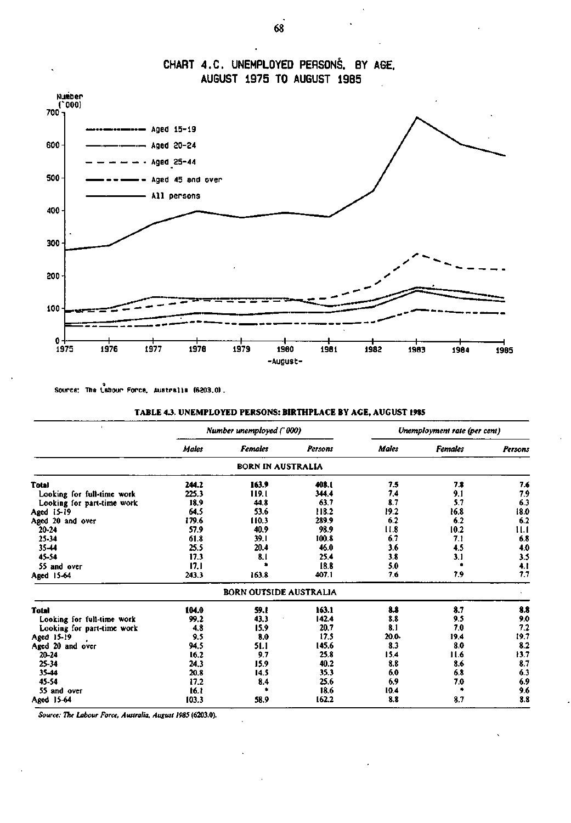

**CHART 4.C. UNEMPLOYED PERSONS. BY AGE. AUGUST 1975 TO AUGUST 1985** 

Source: The Labour Force. Australia (6203.0)

| <b>TABLE 4.3. UNEMPLOYED PERSONS: BIRTHPLACE BY AGE, AUGUST 1985</b> |  |  |  |
|----------------------------------------------------------------------|--|--|--|
|----------------------------------------------------------------------|--|--|--|

| $\Lambda$                  |              | Number unemployed ('000)      |         |              | Unemployment rate (per cent) |         |
|----------------------------|--------------|-------------------------------|---------|--------------|------------------------------|---------|
|                            | <b>Males</b> | <b>Females</b>                | Persons | <b>Males</b> | <b>Females</b>               | Persons |
|                            |              | BORN IN AUSTRALIA             |         |              |                              |         |
| Total                      | 244.2        | 163.9                         | 408.1   | 7.5          | 7.8                          | 7.6     |
| Looking for full-time work | 225.3        | 119.1                         | 344.4   | 7.4          | 9,1                          | 7.9     |
| Looking for part-time work | 18,9         | 44.8                          | 63.7    | 8.7          | 5.7                          | 6.3     |
| Aged 15-19                 | 64.5         | 53.6                          | 118.2   | 19.2         | 16.8                         | 18.0    |
| Aged 20 and over           | 179.6        | 110.3                         | 289.9   | 6.2          | 6.2                          | 6.2     |
| 20-24                      | 57.9         | 40.9                          | 98.9    | 11.8         | 10.2                         | 11.1    |
| 25-34                      | 61.8         | 39.1                          | 100.8   | 6,7          | 7.1                          | 6.8     |
| 35-44                      | 25.5         | 20.4                          | 46.0    | 3.6          | 4.5                          | 4.0     |
| 45-54                      | 17.3         | 8.1                           | 25.4    | 3.8          | 3.1                          | 3.5     |
| 55 and over                | 17,1         |                               | 18.8    | 5.0          |                              | 4.1     |
| Aged 15-64                 | 243.3        | 163.8                         | 407.1   | 7.6          | 7.9                          | 7,7     |
|                            |              | <b>BORN OUTSIDE AUSTRALIA</b> |         |              |                              |         |
| <b>Total</b>               | 104.0        | 59.I                          | 163.1   | 8.8          | 8.7                          | 8.8     |
| Looking for full-time work | 99.2         | 43.3                          | 142.4   | 8.8          | 9.5                          | 9.0     |
| Looking for part-time work | 4.8          | 15.9                          | 20.7    | 8.1          | 7.0                          | 7.2     |
| Aged 15-19                 | 9.5          | 8.0                           | 17.5    | 20.0         | 19.4                         | 19.7    |
| Aged 20 and over           | 94.5         | 51.1                          | 145.6   | 8.3          | 8.0                          | 8.2     |
| $20 - 24$                  | 16.2         | 9.7                           | 25.8    | 15.4         | 11.6                         | 13.7    |
| 25-34                      | 24.3         | 15.9                          | 40.2    | 8.8          | 8.6                          | 8.7     |
| $35 - 44$                  | 20.8         | 14.5                          | 35.3    | 6.0          | 6.8                          | 6.3     |
| 45-54                      | 17.2         | 8.4                           | 25.6    | 6.9          | 7.0                          | 6.9     |
| 55 and over                | 16.1         | ٠                             | 18.6    | 10.4         | ۰                            | 9.6     |
| Aged 15-64                 | 103.3        | 58.9                          | 162.2   | 8.8          | 8.7                          | 8.8     |

*Source: The Labour Force, Australia, August 1985* (6203.0).

**68**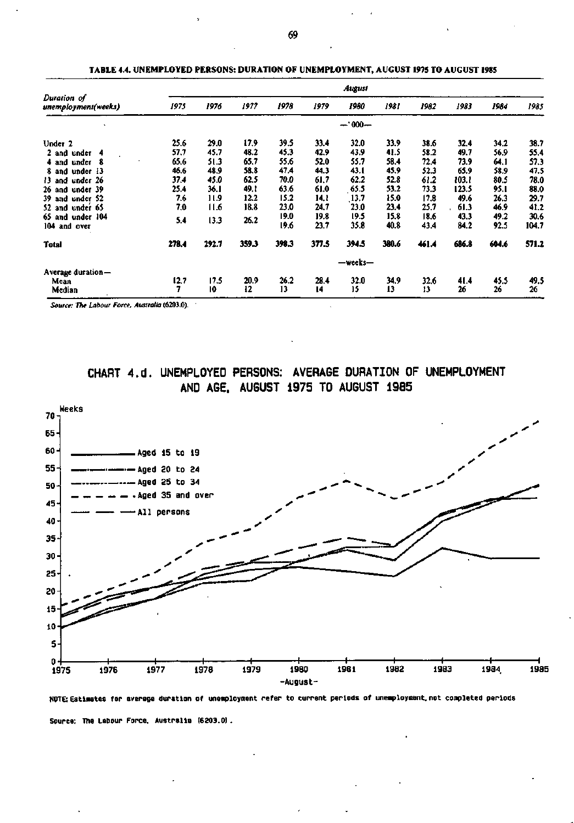|                                    |       |       |       |       |       | August  |       |       |       |       |       |
|------------------------------------|-------|-------|-------|-------|-------|---------|-------|-------|-------|-------|-------|
| Duration of<br>unemployment(weeks) | 1975  | 1976  | 1977  | 1978  | 1979  | 1980    | 1981  | 1982  | 1983  | 1984  | 1985  |
|                                    |       |       |       |       |       | $-000-$ |       |       |       |       |       |
| Under 2                            | 25.6  | 29.0  | 17.9  | 39.5  | 33.4  | 32.0    | 33.9  | 38.6  | 32.4  | 34.2  | 38.7  |
| 2 and under 4                      | 57.7  | 45.7  | 48.2  | 45.3  | 42.9  | 43.9    | 41.5  | 58.2  | 49.7  | 56.9  | 55.4  |
| 4 and under 8                      | 65.6  | 51.3  | 65.7  | 55.6  | 52.0  | 55.7    | 58.4  | 72,4  | 73.9  | 64.1  | 57.3  |
| 8 and under 13                     | 46.6  | 48.9  | 58.8  | 47.4  | 44.3  | 43.1    | 45.9  | 52.3  | 65.9  | 58.9  | 47.5  |
| 13 and under 26                    | 37.4  | 45.0  | 62.5  | 70.0  | 61.7  | 62.2    | 52.8  | 61.2  | 103.1 | 80.5  | 78.0  |
| 26 and under 39                    | 25.4  | 36.I  | 49.1  | 63.6  | 61.0  | 65.5    | 53.2  | 73.3  | 123.5 | 95.1  | 88.0  |
| 39 and under 52                    | 7.6   | 11.9  | 12.2  | 15.2  | 14,1  | 13.7    | 15.0  | 17.8  | 49.6  | 26.3  | 29.7  |
| under 65<br>52 and                 | 7.0   | 11.6  | 18.8  | 23.0  | 24,7  | 23.0    | 23.4  | 25.7  | 61.3  | 46.9  | 41.2  |
| under 104<br>65 and                | 5.4   | 13.3  | 26.2  | 19.0  | 19.8  | 19.5    | 15.8  | 18.6  | 43.3  | 49.2  | 30.6  |
| 104 and over                       |       |       |       | 19.6  | 23.7  | 35.8    | 40.8  | 43.4  | 84.2  | 92.5  | 104.7 |
| <b>Total</b>                       | 278.4 | 292.7 | 359.3 | 398.3 | 377.5 | 394.5   | 380.6 | 461.4 | 686.8 | 604.6 | 571.2 |
|                                    |       |       |       |       |       | —weeks— |       |       |       |       |       |
| Average duration-                  |       |       |       |       |       |         |       |       |       |       |       |
| Mean                               | 12.7  | 17.5  | 20.9  | 26.2  | 28.4  | 32.0    | 34.9  | 32.6  | 41.4  | 45.5  | 49.5  |
| Median                             | 7     | 10    | 12    | 13    | 14    | 15      | 13    | 13    | 26    | 26    | 26    |

**TABLE 4.4. UNEMPLOYED PERSONS: DURATION OF UNEMPLOYMENT, AUGUST 1975 TO AUGUST 1985** 

*Source: The Labour Force, Australia* **(6203.0).** 

**CHART 4.d. UNEMPLOYED PERSONS: AVERAGE DURATION OF UNEMPLOYMENT AND AGE. AUGUST 1975 TO AUGUST 1985** 



**N0TE: Estimates for average duration of unemployment refer to current periods of unemployment, not completed periods Source: The Labour Force. Australia (6203.0).**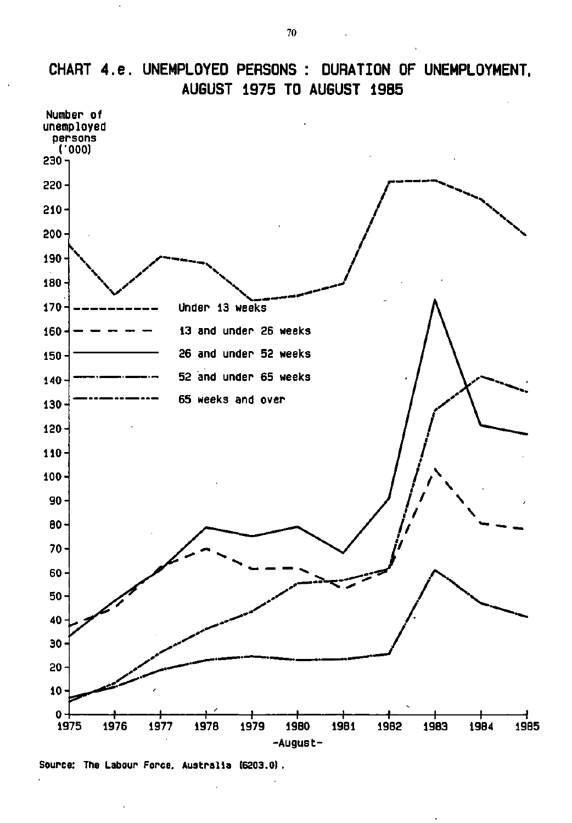

# **CHART 4.e. UNEMPLOYED PERSONS : DURATION OF UNEMPLOYMENT, AUGUST 1975 TO AUGUST 1985**

**Source: The Labour Force. Australia (6203.0) .**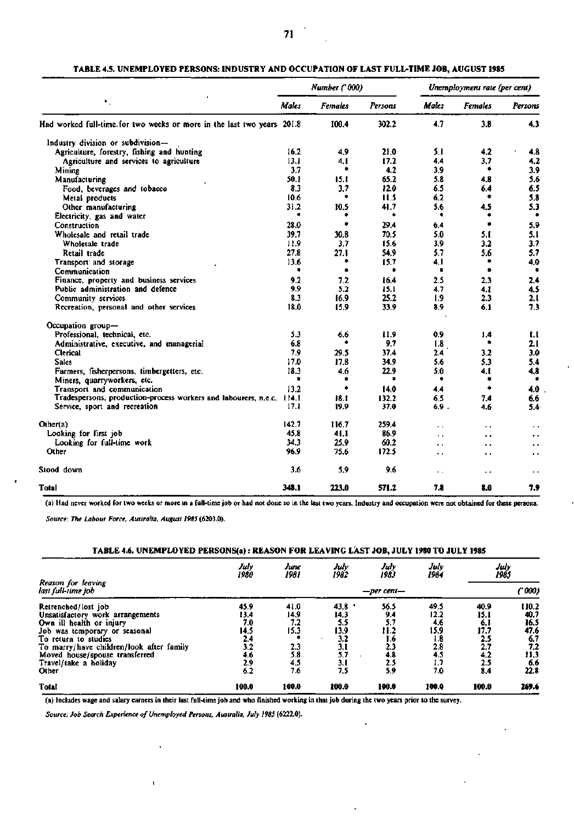### **TABLE 4.5. UNEMPLOYED PERSONS: INDUSTRY AND OCCUPATION OF LAST FULL-TIME JOB, AUGUST 1985**

|                                                                         |              | Number ('000)  |         | Unemployment rate (per cent) |                |                      |  |  |
|-------------------------------------------------------------------------|--------------|----------------|---------|------------------------------|----------------|----------------------|--|--|
| ٠.                                                                      | <b>Males</b> | <b>Females</b> | Persons | Males                        | <b>Females</b> | Persons              |  |  |
| Had worked full-time. for two weeks or more in the last two years 201.8 |              | 100.4          | 302.2   | 4.7                          | 3.8            | 4.3                  |  |  |
| Industry division or subdivision-                                       |              |                |         |                              |                |                      |  |  |
| Agriculture, forestry, fishing and hunting                              | 16.2         | 4.9            | 21.0    | 5.1                          | 4.2            | 4.8                  |  |  |
| Agriculture and services to agriculture                                 | 13.1         | 4.1            | 17.2    | 4.4                          | 3.7            | 4.2                  |  |  |
| Mining                                                                  | 3.7          | ٠              | 4.2     | 3.9                          | ٠              | 3.9                  |  |  |
| Manufacturing                                                           | 50.1         | 15.1           | 65.2    | 5.8                          | 4.8            | 5.6                  |  |  |
| Food, beverages and tobacco                                             | 8.3          | 3.7            | 12.0    | 6.5                          | 6.4            | 6.5                  |  |  |
| Metal products                                                          | 10.6         | ٠              | 11.5    | 6.2                          | ۰              | 5.8                  |  |  |
| Other manufacturing                                                     | 31.2         | 10.5           | 41.7    | 5.6                          | 4.5            | 5.3                  |  |  |
| Electricity, gas and water                                              | ٠            |                | ۰       | ۰                            | ۰              | ٠                    |  |  |
| Construction                                                            | 28.0         | ٠              | 29.4    | 6.4                          | ٠              | 5.9                  |  |  |
| Wholesale and retail trade                                              | 39.7         | 30.8           | 70.5    | 5.0                          | 5.1            | 5.1                  |  |  |
| Wholesale trade                                                         | 11.9         | 3.7            | 15.6    | 3.9                          | 3.2            | 3.7                  |  |  |
| Retail trade                                                            | 27.8         | 27.1           | 54.9    | 5.7                          | 5.6            | 5.7                  |  |  |
| Transport and storage                                                   | 13.6         | ۰              | 15.7    | 4.1                          | ۰              | 4.0                  |  |  |
| Communication                                                           | ٠            | ٠              | ٠       | ٠                            | ۰              | ٠                    |  |  |
| Finance, property and business services                                 | 9.2          | 7.2            | 16.4    | 2.5                          | 2.3            | 2.4                  |  |  |
| Public administration and defence                                       | 9.9          | 5.2            | 15.1    | 4.7                          | 4. I           | 4.5                  |  |  |
| Community services                                                      | 8.3          | 16.9           | 25.2    | 1.9                          | 2.3            | 2.1                  |  |  |
| Recreation, personal and other services                                 | 18.0         | 15.9           | 33.9    | 8.9                          | 6.1            | 7.3                  |  |  |
| Occupation group-                                                       |              |                |         |                              |                |                      |  |  |
| Professional, technical, etc.                                           | 5.3          | 6.6            | 11.9    | 0.9                          | 1.4            | 1.1                  |  |  |
| Administrative, executive, and managerial                               | 6.8          | ۰              | 9.7     | 1.8                          | ۰              | 2.1                  |  |  |
| <b>Clerical</b>                                                         | 7.9          | 29.5           | 37.4    | 2.4                          | 3.2            | 3.0                  |  |  |
| Sales                                                                   | 17.0         | 17.8           | 34.9    | 5.6                          | 5.3            | 5.4                  |  |  |
| Farmers, fisherpersons, timbergetters, etc.                             | 18.3         | 4.6            | 22.9    | 5.0                          | 4.I            | 4.8                  |  |  |
| Miners, quarryworkers, etc.                                             | ۰            | ۰              | ٠       | ٠                            | ۰              | ۰                    |  |  |
| Transport and communication                                             | 13.2         | ۰              | 14.0    | 4.4                          | ۰              | 4.0                  |  |  |
| Tradespersons, production-process workers and labourers, n,e,c, 114.1   |              | 18.1           | 132.2   | 6.5                          | 7.4            | 6.6                  |  |  |
| Service, sport and recreation                                           | 17.1         | 19.9           | 37.0    | 6.9.                         | 4.6            | 5.4                  |  |  |
| Other(a)                                                                | 142.7        | 116.7          | 259.4   | ٠.                           | ٠.             | $\ddot{\phantom{1}}$ |  |  |
| Looking for first job                                                   | 45.8         | 41.1           | 86.9    | . .                          |                | $\ddot{\phantom{0}}$ |  |  |
| Looking for full-time work                                              | 34.3         | 25.9           | 60.2    | ٠.                           | . .            | . .                  |  |  |
| Other                                                                   | 96.9         | 75.6           | 172.5   | $\ddot{\phantom{1}}$         | ٠.             | $\ddot{\phantom{1}}$ |  |  |
| Stood down                                                              | 3.6          | 5.9            | 9.6     | $\ddotsc$                    | ۰.             | $\ddot{\phantom{1}}$ |  |  |
| Total                                                                   | 348.1        | 223.0          | 571.2   | 7.8                          | 8.0            | 7.9                  |  |  |

(a) Had never worked for two weeks or more in a full-time job or had not done so in the last two years. Industry and occupation were not obtained for these persons.

*Source: The Labour Force, Australia, August 1985* (6203.0).

#### **TABLE 4.6. UNEMPLOYED PERSONS(a): REASON FOR LEAVING LAST JOB, JULY 1980 TO JULY 1985**

|                                           | July<br>1980 | June<br>1981 | July<br>1982 | July<br>1983 | July<br>1984 | July<br>1985 |       |  |  |
|-------------------------------------------|--------------|--------------|--------------|--------------|--------------|--------------|-------|--|--|
| Reason for leaving<br>last full-time job- | —per cent—   |              |              |              |              |              |       |  |  |
| Retrenched/lost job                       | 45.9         | 41.0         | 43.8         | 56.5         | 49.5         | 40.9         | 110.2 |  |  |
| Unsatisfactory work arrangements          | 13,4         | 14.9         | 14.3         | 94           | 12.2         | 15.1         | 40.7  |  |  |
| Own ill health or injury                  | 7.0          | 7.2          | 5.5          | 5.7          | 4,6          | 6,1          | 16.5  |  |  |
| Job was temporary or seasonal             | 14.5         | 15.3         | 13.9         | 11.2         | 15.9         | 17.7         | 47.6  |  |  |
| To return to studies                      | 2.4          |              | 3.2          | 1.6          | 1.8          | 2.5          | 6.7   |  |  |
| To marry/have children/look after family  | 3.2          | 2.3          | 3.1          | 2.3          | 2.8          | 2.7          | 7.2   |  |  |
| Moved house/spouse transferred            | 4.6          | 5.8          | 5.7          | 4.8          | 4.5          | 4.2          | 11.3  |  |  |
| Travel/take a holiday                     | 2.9          | 4.5          | 3.1          | 2.5          | $\mathbf{L}$ | 2.5          | 6.6   |  |  |
| Other                                     | 6.2          | 7.6          | 7.5          | 5.9          | 7.0          | 8.4          | 22.8  |  |  |
| <b>Total</b>                              | 100.0        | 100.0        | 100.0        | 100.0        | 100.0        | 100.0        | 269.6 |  |  |

(a) Includes wage and salary earners in their last full-time job and who finished working in that job during the two years prior to the survey.

*Source: Job Search Experience of Unemployed Persons, Australia, July 1985* (6222.0).

 $\mathbf{I}$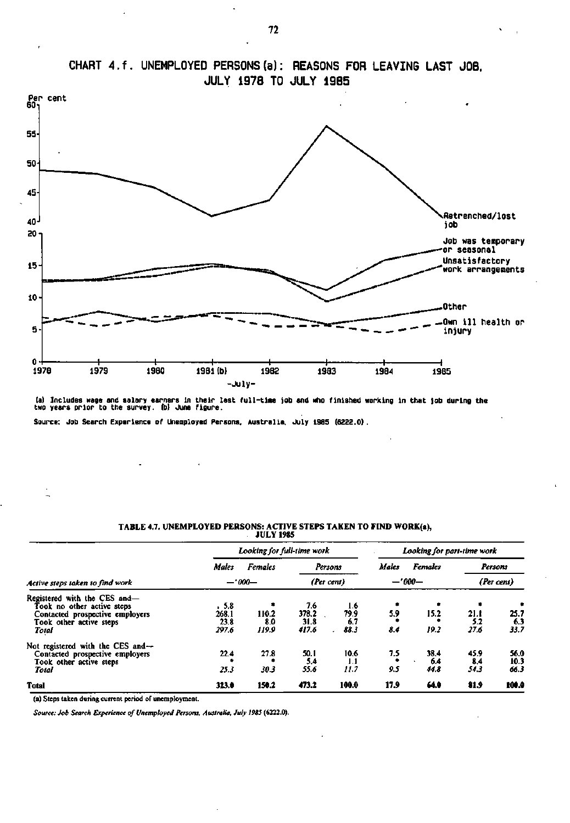

## **CHART 4.f. UNEMPLOYED PERSONS (a): REASONS FOR LEAVING LAST JOB, JULY 1978 TO JULY 1985**

**(a) Includes wage and salary earners In their last full-tine job and who finished working In that job during the two years prior to the survey, (b) June figure.** 

**Source: Job Search Experience of Unemployed Persons. Australia. July 1985 (6222.0).** 

|                                                                                                                                   |                                | <b>JULY 1985</b>           |                               |                            |                                |                     |                     |                      |
|-----------------------------------------------------------------------------------------------------------------------------------|--------------------------------|----------------------------|-------------------------------|----------------------------|--------------------------------|---------------------|---------------------|----------------------|
|                                                                                                                                   | Looking for full-time work     | Looking for part-time work |                               |                            |                                |                     |                     |                      |
|                                                                                                                                   | Males                          | <b>Females</b>             |                               | Persons                    | <b>Males</b><br><b>Females</b> |                     | Persons             |                      |
| Active steps taken to find work                                                                                                   | $-.000-$                       |                            | (Per cent)                    |                            | $-1000-$                       |                     | (Per cent)          |                      |
| Registered with the CES and-<br>Took no other active steps<br>Contacted prospective employers<br>Took other active steps<br>Total | .5.8<br>268.1<br>23.8<br>297.6 | 110.2<br>8.0<br>119.9      | 7.6<br>378.2<br>31.8<br>417.6 | 1.6<br>79.9<br>6.7<br>88.3 | ۰<br>5.9<br>8.4                | 15.2<br>19.2        | 21.1<br>5.2<br>27.6 | 25.7<br>6.3<br>33.7  |
| Not registered with the CES and---<br>Contacted prospective employers<br>Took other active steps<br>Total                         | 22.4<br>25.3                   | 27.8<br>30.3               | 50.1<br>5.4<br>55.6           | 10.6<br>1.1<br>11.7        | 7.5<br>9.5                     | 38.4<br>6.4<br>44.8 | 45.9<br>8,4<br>54.3 | 56.0<br>10.3<br>66.3 |
| <b>Total</b>                                                                                                                      | 323.0                          | 150.2                      | 473.2                         | 100.0                      | 17.9                           | 64.0                | 81.9                | 100.0                |

## **TABLE 4.7. UNEMPLOYED PERSONS: ACTIVE STEPS TAKEN TO FIND WORK(a),**

(a) Steps taken during current period of unemployment.

*Source: Job Search Experience of Unemployed Persons, Australia, July 1985* (6222.0).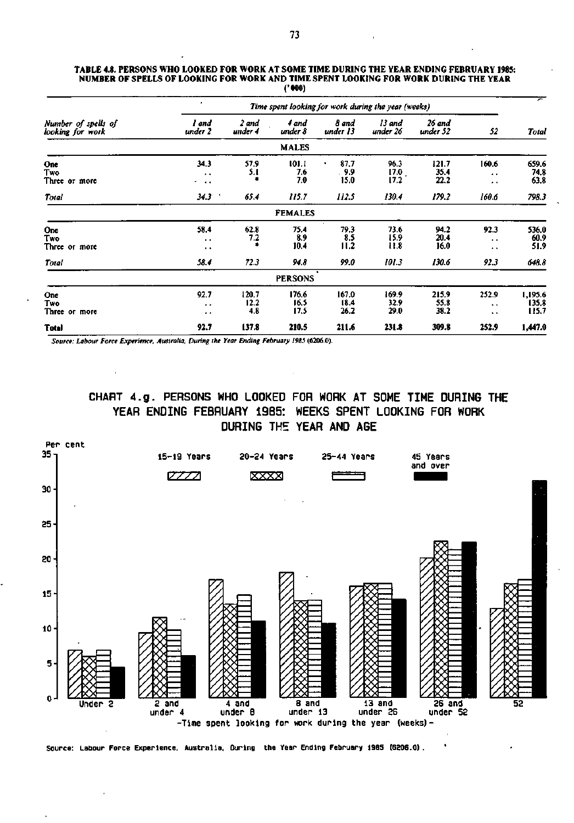#### **TABLE 4.8. PERSONS WHO LOOKED FOR WORK AT SOME TIME DURING THE YEAR ENDING FEBRUARY 1985: NUMBER OF SPELLS OF LOOKING FOR WORK AND TIME SPENT LOOKING FOR WORK DURING THE YEAR ('000)**

|                                         |                                           |                      |                       | Time spent looking for work during the year (weeks) |                       |                       |                                                      |                           |
|-----------------------------------------|-------------------------------------------|----------------------|-----------------------|-----------------------------------------------------|-----------------------|-----------------------|------------------------------------------------------|---------------------------|
| Number of spells of<br>looking for work | and<br>under 2                            | 2 and<br>under 4     | 4 and<br>under 8      | 8 and<br>under 13                                   | 13 and<br>under 26    | 26 and<br>under 52    | 52                                                   | Total                     |
|                                         |                                           |                      | <b>MALES</b>          |                                                     |                       |                       |                                                      |                           |
| One<br>Two<br>Three or more             | 34.3<br>$\ddot{\phantom{1}}$<br>n e 4     | 57.9<br>5.1          | 101.1<br>7.6<br>7.0   | 87.7<br>-9.9<br>15.0                                | 96.3<br>17.0<br>17.2  | 121.7<br>35.4<br>22.2 | 160.6<br>$\ddot{\phantom{1}}$<br>$\bullet$           | 659.6<br>74.8<br>63.8     |
| <b>Total</b>                            | 34.3                                      | 65.4                 | 115.7                 | 112.5                                               | 130.4                 | 179.2                 | 160.6                                                | 798.3                     |
|                                         |                                           |                      | <b>FEMALES</b>        |                                                     |                       |                       |                                                      |                           |
| <b>One</b><br>Two<br>Three or more      | 58.4<br>$\sim$<br>$\cdot$                 | 62.8<br>7.2          | 75.4<br>8.9<br>10.4   | 79.3<br>8.5<br>11.2                                 | 73.6<br>15.9<br>11.8  | 94.2<br>20.4<br>16.0  | 92.3<br>$\ddot{\phantom{1}}$<br>$\ddot{\phantom{1}}$ | 536.0<br>60.9<br>51.9     |
| <b>Total</b>                            | 58.4                                      | 72.3                 | 94.8                  | 99.0                                                | 101.3                 | 130.6                 | 92.3                                                 | 648.8                     |
|                                         |                                           |                      | <b>PERSONS</b>        |                                                     |                       |                       |                                                      |                           |
| One<br>Two<br>Three or more             | 92.7<br>$\ddot{\phantom{1}}$<br>$\bullet$ | 120.7<br>12.2<br>4.8 | 176.6<br>16.5<br>17.5 | 167.0<br>18.4<br>26.2                               | 169.9<br>32.9<br>29.0 | 215.9<br>55.8<br>38.2 | 252.9<br>$\ddot{\phantom{1}}$<br>$\ddot{\bullet}$    | 1,195.6<br>135.8<br>115.7 |
| <b>Total</b>                            | 92.7                                      | 137.8                | 210.5                 | 211.6                                               | 231.8                 | 309.8                 | 252.9                                                | 1,447.0                   |

*Source: Labour Force Experience. Australia. During the Year Ending February 1985* **(6206.0).** 

 $\mathbf{r}$ 

**CHART 4.g. PERSONS WHO LOOKED FOR WORK AT SOME TIME DURING THE YEAR ENDING FEBRUARY 1985: WEEKS SPENT LOOKING FOR WORK DURING THE YEAR AND AGE** 



**Source: Labour Force Experience. Australia. During the Year Ending February 19B5 (6206.0)**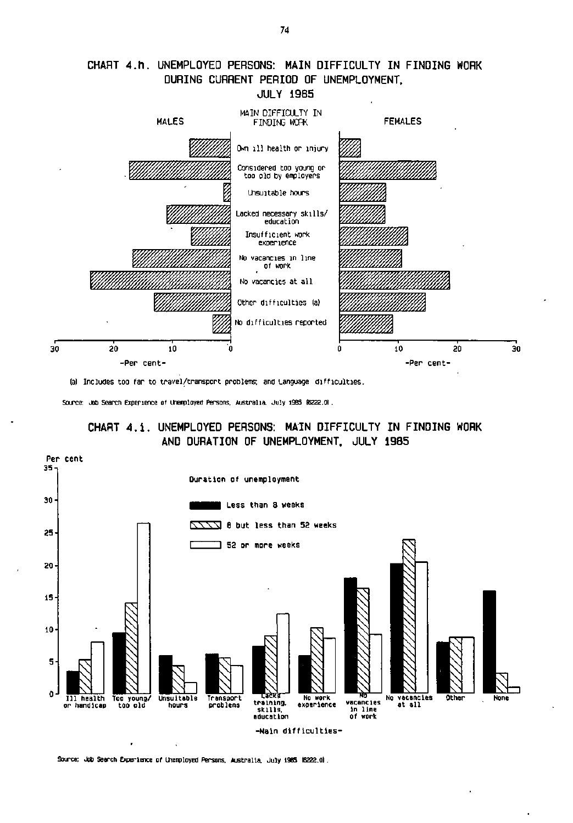

## **CHART 4.h. UNEMPLOYED PERSONS: MAIN DIFFICULTY IN FINDING WORK DURING CURRENT PERIOD OF UNEMPLOYMENT.**

la) Includes too far to travel/transport problems; and Language difficulties .

Source: Job Search Experience of Unerrployed Persons. Australia. July 1985 (6222.0).





Source: Job Search Experience of Unemployed Persons. Australia. July 1985 (6222.0).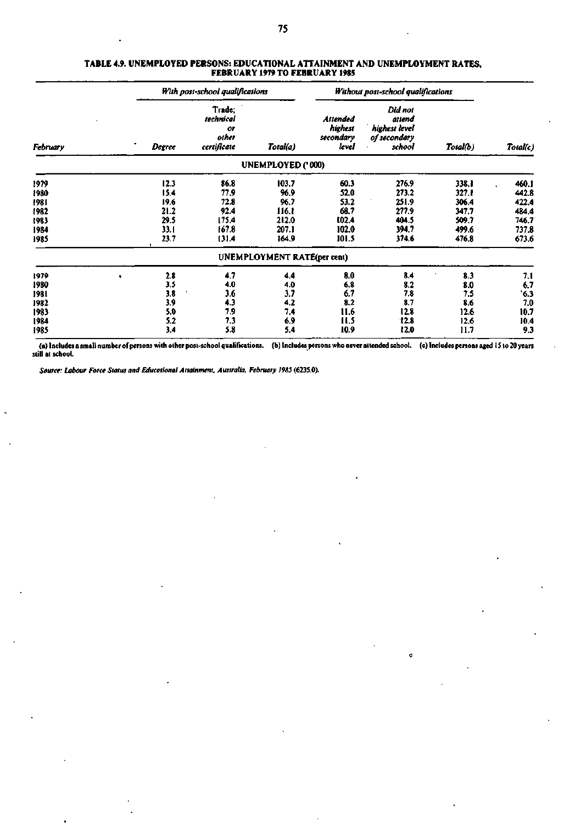|          |        | With post-school qualifications                   |                             |                                           | Without post-school qualifications                           |          |          |
|----------|--------|---------------------------------------------------|-----------------------------|-------------------------------------------|--------------------------------------------------------------|----------|----------|
| February | Degree | Trade;<br>technical<br>or<br>other<br>certificate | Total(a)                    | Attended<br>highest<br>secondary<br>level | Did not<br>attend<br>highest level<br>of secondary<br>school | Total(b) | Total(c) |
|          |        |                                                   | UNEMPLOYED ('000)           |                                           |                                                              |          |          |
| 1979     | 12.3   | 86.8                                              | 103.7                       | 60.3                                      | 276.9                                                        | 338.1    | 460.1    |
| 1980     | 15.4   | 77.9                                              | 96.9                        | 52.0                                      | 273.2                                                        | 327.1    | 442.8    |
| 1981     | 19.6   | 72.8                                              | 96.7                        | 53.2                                      | 251.9                                                        | 306.4    | 422.4    |
| t982     | 21.2   | 92.4                                              | 116.1                       | 68.7                                      | 277.9                                                        | 347.7    | 484.4    |
| 1983     | 29.5   | 175.4                                             | 212.0                       | 102.4                                     | 404.5                                                        | 509.7    | 746.7    |
| 1984     | 33.1   | 167.8                                             | 207.1                       | 102.0                                     | 394.7                                                        | 499.6    | 737.8    |
| 1985     | 23.7   | 131.4                                             | 164.9                       | 101.5                                     | 374.6                                                        | 476.8    | 673.6    |
|          |        |                                                   | UNEMPLOYMENT RATE(per cent) |                                           |                                                              |          |          |
| 1979     | 2.8    | 4.7                                               | 4.4                         | 8.0                                       | 8.4                                                          | 8.3      | 7.1      |
| 1980     | 3,5    | 4.0                                               | 4.0                         | 6,8                                       | 8.2                                                          | 8.0      | 6.7      |
| 198 I    | 3.8    | 3.6                                               | 3.7                         | 6.7                                       | 7.8                                                          | 7.5      | 6.3      |
| 1982     | 3.9    | 4.3                                               | 4.2                         | 8.2                                       | 8.7                                                          | 8.6      | 7.0      |

#### **TABLE 4.9. UNEMPLOYED PERSONS: EDUCATIONAL ATTAINMENT AND UNEMPLOYMENT RATES, FEBRUARY 1979 TO FEBRUARY 1985**

(a) Includes a small number of persons with other post-school qualifications, (a) Includes a small number of persons with other post-school qualifications. (b) Includes persons who never attended school. (c) Includes persons aged 15 to 20 years<br>still at school.

7.4 6.9 5.4

11.6 11.5 10.9

12.8 12.8 12.0

12.6 12.6 11.7

10.7 10.4 9.3

*Source: Labour Force Status and Educational Attainment, Australia, February 1985* **(623S.0).** 

5.0 5.2 3.4 7.9 7.3 5.8

**1983 1984 1985**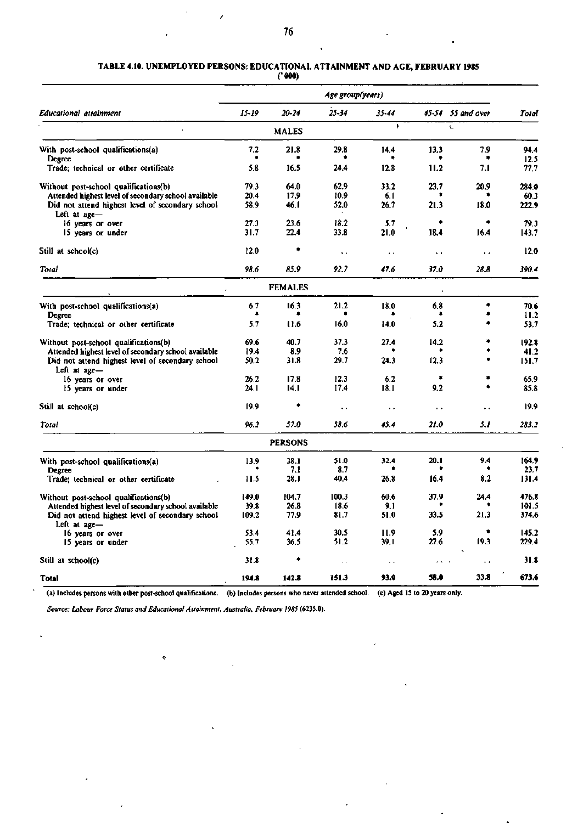## **TABLE** 4.10. **UNEMPLOYED PERSONS: EDUCATIONAL ATTAINMENT AND AGE, FEBRUARY 1985**

**('000)** 

|                                                                                                          | Age group(years) |                |                        |                      |                        |                         |                |  |  |  |
|----------------------------------------------------------------------------------------------------------|------------------|----------------|------------------------|----------------------|------------------------|-------------------------|----------------|--|--|--|
| Educational attainment                                                                                   | $15 - 19$        | $20 - 24$      | $25 - 34$              | 35-44                |                        | $45-54$ 55 and over     | Total          |  |  |  |
|                                                                                                          |                  | <b>MALES</b>   |                        | f,                   |                        | $\mathbf{t}_\mathrm{a}$ |                |  |  |  |
| With post-school qualifications(a)<br>Degree                                                             | 7.2              | 21.8           | 29.8                   | 14.4                 | 13.3                   | 7.9<br>۰                | 94.4<br>12.5   |  |  |  |
| Trade; technical or other certificate                                                                    | 5.8              | 16.5           | 24.4                   | 12.8                 | 11.2                   | 7.1                     | 77.7           |  |  |  |
| Without post-school qualifications(b)                                                                    | 79.3             | 64.0           | 62.9                   | 33.2                 | 23.7                   | 20.9                    | 284.0          |  |  |  |
| Attended highest level of secondary school available<br>Did not attend highest level of secondary school | 20.4<br>58.9     | 17.9<br>46.1   | 10.9<br>52.0           | 6.1<br>26.7          | $\bullet$<br>21.3      | ۰<br>18.0               | 60.3<br>222.9  |  |  |  |
| Left at age-<br>16 years or over                                                                         | 27.3             | 23.6           | 18.2                   | 5.7                  | ۰                      | $\bullet$               | 79.3           |  |  |  |
| 15 years or under                                                                                        | 31.7             | 22.4           | 33.8                   | 21.0                 | 18.4                   | 16.4                    | 143.7          |  |  |  |
| Still at school(c)                                                                                       | 12.0             | ٠              | $\ddot{\phantom{1}}$   | $\ddot{\phantom{0}}$ | $\ddot{\phantom{1}}$ . | $\ddot{\phantom{0}}$    | 12.0           |  |  |  |
| Total                                                                                                    | 98.6             | 85.9           | 92.7                   | 47.6                 | 37.0                   | 28.8                    | 390.4          |  |  |  |
|                                                                                                          |                  | <b>FEMALES</b> |                        |                      | $\hat{\mathbf{v}}$     |                         |                |  |  |  |
| With post-school qualifications(a)                                                                       | 6.7<br>۰         | 16.3<br>٠      | 21.2                   | 18.0                 | 6.8<br>۰               | ۰<br>۰                  | 70.6           |  |  |  |
| Degree<br>Trade; technical or other certificate                                                          | 5.7              | 11.6           | 16.0                   | 14.0                 | 5.2                    | ۰                       | 11.2<br>53.7   |  |  |  |
| Without post-school qualifications(b)                                                                    | 69.6             | 40.7           | 37.3                   | 27.4                 | 14.2                   | ٠                       | 192.8          |  |  |  |
| Attended highest level of secondary school available                                                     | 19.4             | 8.9            | 7.6                    |                      |                        | ٠                       | 41.2           |  |  |  |
| Did not attend highest level of secondary school<br>Left at $a$ ge $-$                                   | 50.2             | 31.8           | 29.7                   | 24.3                 | 12.3                   |                         | 151.7          |  |  |  |
| 16 years or over<br>15 years or under                                                                    | 26.2<br>24. I    | 17.8<br>14.1   | 12.3<br>17.4           | 6.2<br>18.1          | ۰<br>9.2               | ٠                       | 65.9<br>85.8   |  |  |  |
| Still at school(c)                                                                                       | 19.9             | ۰              | $\ddot{\phantom{0}}$ . | $\sim$               | $\sim$                 | . .                     | 19.9           |  |  |  |
| Total                                                                                                    | 96.2             | 57.0           | 58.6                   | 45.4                 | 21.0                   | 5.1                     | 283.2          |  |  |  |
|                                                                                                          |                  | <b>PERSONS</b> |                        |                      |                        |                         |                |  |  |  |
| With post-school qualifications(a)                                                                       | 13.9             | 38.1           | 51.0                   | 32.4                 | 20.1                   | 9.4                     | 164.9          |  |  |  |
| Degree                                                                                                   |                  | 7.1            | 8.7                    |                      |                        | ۰                       | 23.7           |  |  |  |
| Trade: technical or other certificate                                                                    | 11.5             | 28. I          | 40.4                   | 26.8                 | 16.4                   | 8.2                     | 131.4          |  |  |  |
| Without post-school qualifications(b)                                                                    | 149.0            | 104.7          | 100.3                  | 60.6                 | 37.9                   | 24.4                    | 476.8          |  |  |  |
| Attended highest level of secondary school available<br>Did not attend highest level of secondary school | 39.8<br>109.2    | 26.8<br>77.9   | 18.6<br>81.7           | 9.1<br>51.0          | 33.5                   | 21.3                    | 101.5<br>374,6 |  |  |  |
| Left at $age-$                                                                                           |                  |                |                        |                      |                        | ٠                       |                |  |  |  |
| 16 years or over                                                                                         | 53.4<br>55.7     | 41.4<br>36.5   | 30.5<br>51.2           | 11.9<br>39.I         | 5.9<br>27.6            | 19.3                    | 145.2<br>229.4 |  |  |  |
| 15 years or under                                                                                        |                  |                |                        |                      |                        |                         |                |  |  |  |
| Still at school(c)                                                                                       | 31.8             |                | $\ddot{\phantom{0}}$   | . .                  |                        | $\ddot{\phantom{0}}$    | 31.8           |  |  |  |
| Total                                                                                                    | 194.8            | 142.8          | 151.3                  | 93.0                 | 58.0                   | 33.8                    | 673.6          |  |  |  |

(a) Includes persons with other post-school qualifications. (b) Includes persons who never attended school. (c) Aged 15 to 20 years only.

*Source: Labour Force Status and Educational Attainment, Australia, February 1985* **(6235.0).** 

 $\ddot{\mathbf{Q}}$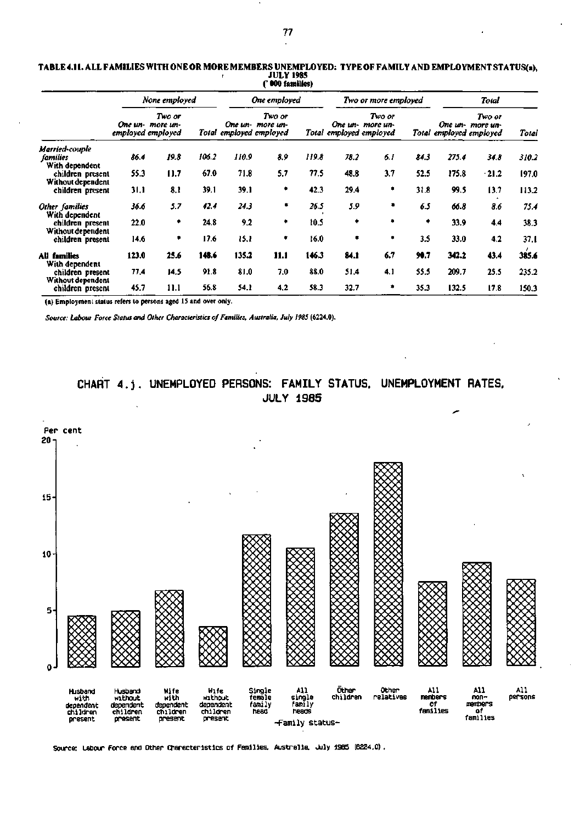|                                              |       | None employed                                   |       |       | One employed                                          |       |      | Two or more employed                                  |      | Total |                                                       |       |
|----------------------------------------------|-------|-------------------------------------------------|-------|-------|-------------------------------------------------------|-------|------|-------------------------------------------------------|------|-------|-------------------------------------------------------|-------|
|                                              |       | Two or<br>One un- more un-<br>employed employed |       |       | Two or<br>One un- more un-<br>Total employed employed |       |      | Two or<br>One un- more un-<br>Total employed employed |      |       | Two or<br>One un- more un-<br>Total employed employed | Total |
| Married-couple<br>families<br>With dependent | 86.4  | 19.8                                            | 106.2 | 110.9 | 8.9                                                   | 119.8 | 78.2 | 6.1                                                   | 84.3 | 275.4 | 34.8                                                  | 310.2 |
| children present                             | 55.3  | 11.7                                            | 67.0  | 71.8  | 5.7                                                   | 77.5  | 48.8 | 3.7                                                   | 52.5 | 175.8 | $-21.2$                                               | 197.0 |
| Without dependent<br>children present        | 31.1  | 8.1                                             | 39.1  | 39.1  | ۰                                                     | 42.3  | 29.4 | ۰                                                     | 31.8 | 99.5  | 13.7                                                  | 113.2 |
| Other families                               | 36.6  | 5.7                                             | 42.4  | 24.3  | ۰                                                     | 26.5  | 5.9  | ٠                                                     | 6.5  | 66.8  | 8.6                                                   | 75.4  |
| With dependent<br>children present           | 22.0  | ۰                                               | 24.8  | 9.2   | ٠                                                     | 10.5  | ٠    | ٠                                                     | ۰    | 33.9  | 4.4                                                   | 38.3  |
| Without dependent<br>children present        | 14.6  | ۰                                               | 17.6  | 15.1  | ۰                                                     | 16.0  | ۰    | ٠                                                     | 3.5  | 33.0  | 4.2                                                   | 37.1  |
| All families                                 | 123.0 | 25.6                                            | 148.6 | 135.2 | 11.1                                                  | 146.3 | 84.1 | 6.7                                                   | 90.7 | 342.2 | 43.4                                                  | 385.6 |
| With dependent<br>children present           | 77,4  | 14.5                                            | 91.8  | 81.0  | 7.0                                                   | 88.0  | 51.4 | 4.1                                                   | 55.5 | 209.7 | 25.5                                                  | 235.2 |
| Without dependent<br>children present        | 45.7  | 11.1                                            | 56.8  | 54.1  | 4,2                                                   | 58.3  | 32.7 | ۰                                                     | 35.3 | 132.5 | 17.8                                                  | 150.3 |

#### **TABLE 4.11. ALL FAMILIES WITH ONE OR MORE MEMBERS UNEMPLOYED: TYPE OF FAMILY AND EMPLOYMENT STATUS(a), JULY 1985 (' 000 families)**

(a) Employment status refers to persons aged 15 and over only.

*Source: Labour Force Status and Other Characteristics of Families, Australia, July 1985* **(6224.0).** 

## **CHART 4.j. UNEMPLOYED PERSONS: FAMILY STATUS. UNEMPLOYMENT RATES. JULY 1985**



**Source: Labour Force and Other Characteristics of Families. Australia. July 1985 (6224.0).**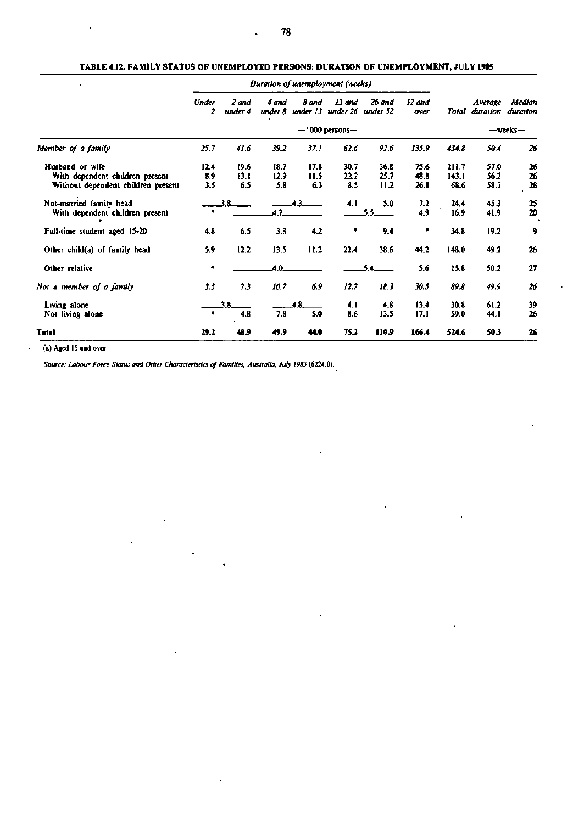| $\blacksquare$                                                                           | Duration of unemployment (weeks) |                     |                     |                     |                     |                      |                      |                        |                      |                             |  |
|------------------------------------------------------------------------------------------|----------------------------------|---------------------|---------------------|---------------------|---------------------|----------------------|----------------------|------------------------|----------------------|-----------------------------|--|
|                                                                                          | Under<br>2                       | 2 and<br>under 4    | 4 and<br>under 8    | 8 and<br>under 13   | 13 and<br>under 26  | 26 and<br>under 52   | 52 and<br>over       | Total                  | <b>Average</b>       | Median<br>duration duration |  |
|                                                                                          | $-$ '000 persons $-$             |                     |                     |                     |                     |                      |                      |                        | -weeks-              |                             |  |
| Member of a family                                                                       | 25.7                             | 41.6                | 39.2                | 37.1                | 62.6                | 92.6                 | 135.9                | 434.8                  | 50.4                 | 26                          |  |
| Husband or wife<br>With dependent children present<br>Without dependent children present | 12.4<br>89<br>3.5                | 19.6<br>13.1<br>6.5 | 18.7<br>12.9<br>5.8 | 17.8<br>11.5<br>6.3 | 30.7<br>22.2<br>8.5 | 36.8<br>25,7<br>11.2 | 75.6<br>48.8<br>26.8 | 211.7<br>143.1<br>68.6 | 57.0<br>56.2<br>58.7 | 26<br>26<br>28              |  |
| Not-married family head<br>With dependent children present                               |                                  |                     | 47                  | 43                  | 4.1                 | 5.0<br>55            | 7,2<br>4.9           | 24.4<br>16.9           | 45.3<br>41.9         | 25<br>20                    |  |
| Full-time student aged 15-20                                                             | 4.8                              | 6.5                 | 3.8                 | 4.2                 | ۰                   | 9.4                  | ۰                    | 34.8                   | 19.2                 | $\cdot$                     |  |
| Other child(a) of family head                                                            | 5.9                              | 12.2                | 13.5                | 11.2                | 22.4                | 38.6                 | 44.2                 | 148.0                  | 49.2                 | 26                          |  |
| Other relative                                                                           | ٠                                |                     | 4.0                 |                     |                     |                      | 5.6                  | 15.8                   | 50.2                 | 27                          |  |
| Not a member of a family                                                                 | 3.5                              | 7.3                 | 10.7                | 6.9                 | 12.7                | 18.3                 | 30.5                 | 89.8                   | 49.9                 | 26                          |  |
| Living alone<br>Not living alone                                                         |                                  | 4.8                 | 7,8                 | 5.0                 | 4.1<br>8.6          | 4.8<br>13.5          | 13.4<br>17.1         | 30.8<br>59.0           | 61.2<br>44.1         | 39<br>26                    |  |
| <b>Total</b>                                                                             | 29.2                             | 48.9                | 49.9                | 44.0                | 75.2                | 110.9                | 166.4                | 524.6                  | 50.3                 | 26                          |  |

#### **TABLE 4.12. FAMILY STATUS OF UNEMPLOYED PERSONS: DURATION OF UNEMPLOYMENT, JULY 1985**

**(a) Aged IS and over.** 

L

*Source: Labour Force Status and Other Characteristics of Families, Australia, July I9S5* **(6224.0).**